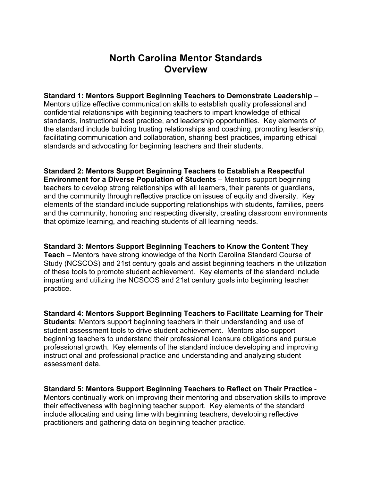# **North Carolina Mentor Standards Overview**

**Standard 1: Mentors Support Beginning Teachers to Demonstrate Leadership** – Mentors utilize effective communication skills to establish quality professional and confidential relationships with beginning teachers to impart knowledge of ethical standards, instructional best practice, and leadership opportunities. Key elements of the standard include building trusting relationships and coaching, promoting leadership, facilitating communication and collaboration, sharing best practices, imparting ethical standards and advocating for beginning teachers and their students.

**Standard 2: Mentors Support Beginning Teachers to Establish a Respectful Environment for a Diverse Population of Students** – Mentors support beginning teachers to develop strong relationships with all learners, their parents or guardians, and the community through reflective practice on issues of equity and diversity. Key elements of the standard include supporting relationships with students, families, peers and the community, honoring and respecting diversity, creating classroom environments that optimize learning, and reaching students of all learning needs.

**Standard 3: Mentors Support Beginning Teachers to Know the Content They Teach** – Mentors have strong knowledge of the North Carolina Standard Course of Study (NCSCOS) and 21st century goals and assist beginning teachers in the utilization of these tools to promote student achievement. Key elements of the standard include imparting and utilizing the NCSCOS and 21st century goals into beginning teacher practice.

**Standard 4: Mentors Support Beginning Teachers to Facilitate Learning for Their Students**: Mentors support beginning teachers in their understanding and use of student assessment tools to drive student achievement. Mentors also support beginning teachers to understand their professional licensure obligations and pursue professional growth. Key elements of the standard include developing and improving instructional and professional practice and understanding and analyzing student assessment data.

**Standard 5: Mentors Support Beginning Teachers to Reflect on Their Practice** - Mentors continually work on improving their mentoring and observation skills to improve their effectiveness with beginning teacher support. Key elements of the standard include allocating and using time with beginning teachers, developing reflective practitioners and gathering data on beginning teacher practice.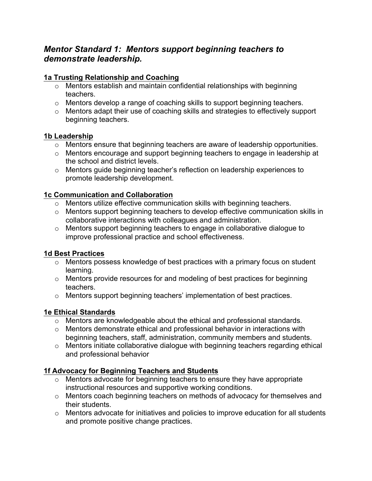## *Mentor Standard 1: Mentors support beginning teachers to demonstrate leadership.*

## **1a Trusting Relationship and Coaching**

- o Mentors establish and maintain confidential relationships with beginning teachers.
- o Mentors develop a range of coaching skills to support beginning teachers.
- o Mentors adapt their use of coaching skills and strategies to effectively support beginning teachers.

#### **1b Leadership**

- o Mentors ensure that beginning teachers are aware of leadership opportunities.
- o Mentors encourage and support beginning teachers to engage in leadership at the school and district levels.
- o Mentors guide beginning teacher's reflection on leadership experiences to promote leadership development.

#### **1c Communication and Collaboration**

- o Mentors utilize effective communication skills with beginning teachers.
- o Mentors support beginning teachers to develop effective communication skills in collaborative interactions with colleagues and administration.
- o Mentors support beginning teachers to engage in collaborative dialogue to improve professional practice and school effectiveness.

#### **1d Best Practices**

- o Mentors possess knowledge of best practices with a primary focus on student learning.
- o Mentors provide resources for and modeling of best practices for beginning teachers.
- $\circ$  Mentors support beginning teachers' implementation of best practices.

#### **1e Ethical Standards**

- o Mentors are knowledgeable about the ethical and professional standards.
- o Mentors demonstrate ethical and professional behavior in interactions with beginning teachers, staff, administration, community members and students.
- o Mentors initiate collaborative dialogue with beginning teachers regarding ethical and professional behavior

#### **1f Advocacy for Beginning Teachers and Students**

- o Mentors advocate for beginning teachers to ensure they have appropriate instructional resources and supportive working conditions.
- o Mentors coach beginning teachers on methods of advocacy for themselves and their students.
- o Mentors advocate for initiatives and policies to improve education for all students and promote positive change practices.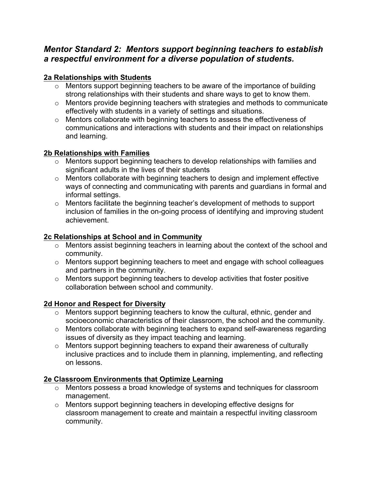## *Mentor Standard 2: Mentors support beginning teachers to establish a respectful environment for a diverse population of students.*

## **2a Relationships with Students**

- o Mentors support beginning teachers to be aware of the importance of building strong relationships with their students and share ways to get to know them.
- o Mentors provide beginning teachers with strategies and methods to communicate effectively with students in a variety of settings and situations.
- o Mentors collaborate with beginning teachers to assess the effectiveness of communications and interactions with students and their impact on relationships and learning.

## **2b Relationships with Families**

- o Mentors support beginning teachers to develop relationships with families and significant adults in the lives of their students
- o Mentors collaborate with beginning teachers to design and implement effective ways of connecting and communicating with parents and guardians in formal and informal settings.
- o Mentors facilitate the beginning teacher's development of methods to support inclusion of families in the on-going process of identifying and improving student achievement.

## **2c Relationships at School and in Community**

- o Mentors assist beginning teachers in learning about the context of the school and community.
- o Mentors support beginning teachers to meet and engage with school colleagues and partners in the community.
- o Mentors support beginning teachers to develop activities that foster positive collaboration between school and community.

## **2d Honor and Respect for Diversity**

- o Mentors support beginning teachers to know the cultural, ethnic, gender and socioeconomic characteristics of their classroom, the school and the community.
- o Mentors collaborate with beginning teachers to expand self-awareness regarding issues of diversity as they impact teaching and learning.
- o Mentors support beginning teachers to expand their awareness of culturally inclusive practices and to include them in planning, implementing, and reflecting on lessons.

## **2e Classroom Environments that Optimize Learning**

- o Mentors possess a broad knowledge of systems and techniques for classroom management.
- o Mentors support beginning teachers in developing effective designs for classroom management to create and maintain a respectful inviting classroom community.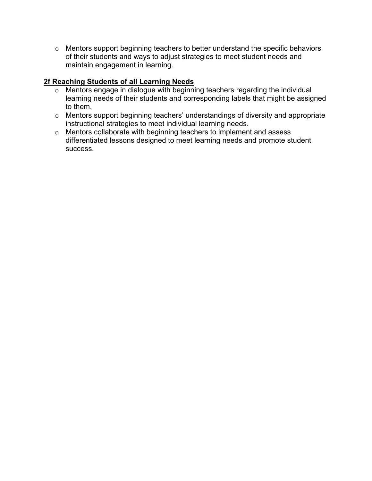o Mentors support beginning teachers to better understand the specific behaviors of their students and ways to adjust strategies to meet student needs and maintain engagement in learning.

## **2f Reaching Students of all Learning Needs**

- o Mentors engage in dialogue with beginning teachers regarding the individual learning needs of their students and corresponding labels that might be assigned to them.
- o Mentors support beginning teachers' understandings of diversity and appropriate instructional strategies to meet individual learning needs.
- o Mentors collaborate with beginning teachers to implement and assess differentiated lessons designed to meet learning needs and promote student success.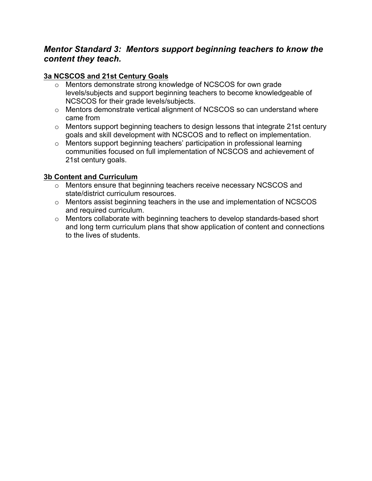## *Mentor Standard 3: Mentors support beginning teachers to know the content they teach.*

### **3a NCSCOS and 21st Century Goals**

- o Mentors demonstrate strong knowledge of NCSCOS for own grade levels/subjects and support beginning teachers to become knowledgeable of NCSCOS for their grade levels/subjects.
- o Mentors demonstrate vertical alignment of NCSCOS so can understand where came from
- o Mentors support beginning teachers to design lessons that integrate 21st century goals and skill development with NCSCOS and to reflect on implementation.
- o Mentors support beginning teachers' participation in professional learning communities focused on full implementation of NCSCOS and achievement of 21st century goals.

#### **3b Content and Curriculum**

- o Mentors ensure that beginning teachers receive necessary NCSCOS and state/district curriculum resources.
- o Mentors assist beginning teachers in the use and implementation of NCSCOS and required curriculum.
- o Mentors collaborate with beginning teachers to develop standards-based short and long term curriculum plans that show application of content and connections to the lives of students.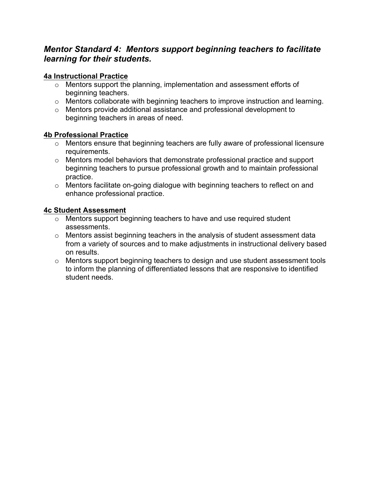## *Mentor Standard 4: Mentors support beginning teachers to facilitate learning for their students.*

## **4a Instructional Practice**

- o Mentors support the planning, implementation and assessment efforts of beginning teachers.
- o Mentors collaborate with beginning teachers to improve instruction and learning.
- o Mentors provide additional assistance and professional development to beginning teachers in areas of need.

#### **4b Professional Practice**

- o Mentors ensure that beginning teachers are fully aware of professional licensure requirements.
- o Mentors model behaviors that demonstrate professional practice and support beginning teachers to pursue professional growth and to maintain professional practice.
- o Mentors facilitate on-going dialogue with beginning teachers to reflect on and enhance professional practice.

#### **4c Student Assessment**

- o Mentors support beginning teachers to have and use required student assessments.
- o Mentors assist beginning teachers in the analysis of student assessment data from a variety of sources and to make adjustments in instructional delivery based on results.
- o Mentors support beginning teachers to design and use student assessment tools to inform the planning of differentiated lessons that are responsive to identified student needs.